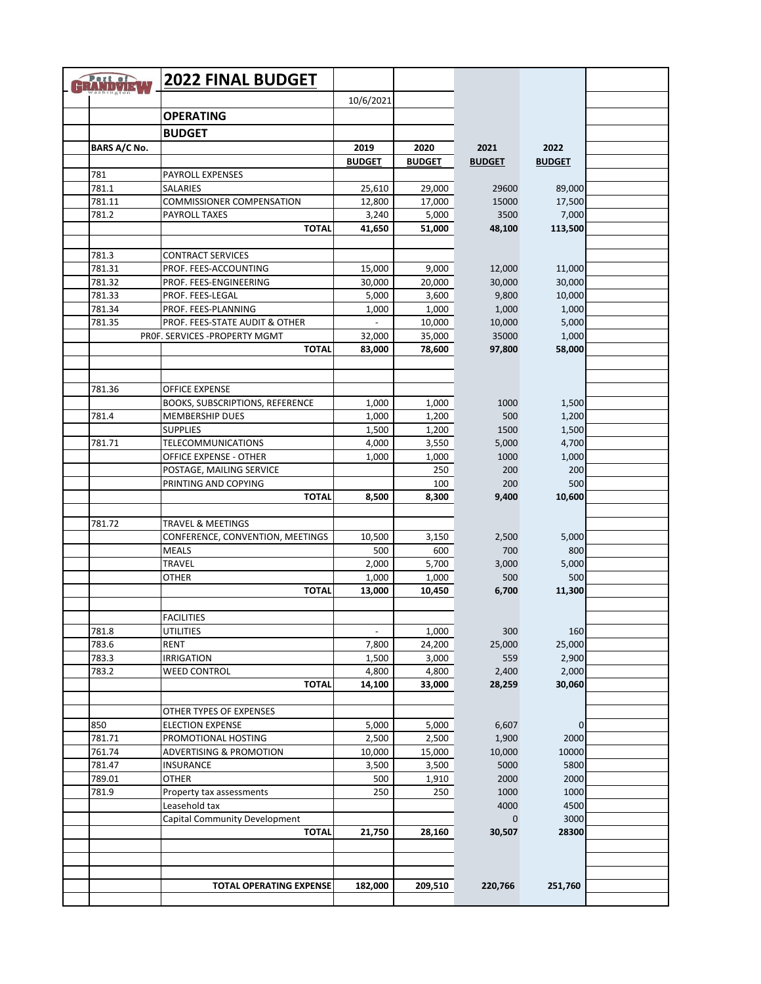| Port of<br>ERANDVIE |                     | <b>2022 FINAL BUDGET</b>                                         |                 |                  |                 |                |  |
|---------------------|---------------------|------------------------------------------------------------------|-----------------|------------------|-----------------|----------------|--|
|                     |                     |                                                                  | 10/6/2021       |                  |                 |                |  |
|                     |                     | <b>OPERATING</b>                                                 |                 |                  |                 |                |  |
|                     |                     | <b>BUDGET</b>                                                    |                 |                  |                 |                |  |
|                     | <b>BARS A/C No.</b> |                                                                  | 2019            | 2020             | 2021            | 2022           |  |
|                     |                     |                                                                  | <b>BUDGET</b>   | <b>BUDGET</b>    | <b>BUDGET</b>   | <b>BUDGET</b>  |  |
|                     | 781                 | PAYROLL EXPENSES                                                 |                 |                  |                 |                |  |
|                     | 781.1               | SALARIES                                                         | 25,610          | 29,000           | 29600           | 89,000         |  |
|                     | 781.11              | <b>COMMISSIONER COMPENSATION</b>                                 | 12,800          | 17,000           | 15000           | 17,500         |  |
|                     | 781.2               | <b>PAYROLL TAXES</b>                                             | 3,240           | 5,000            | 3500            | 7,000          |  |
|                     |                     | <b>TOTAL</b>                                                     | 41,650          | 51,000           | 48,100          | 113,500        |  |
|                     |                     |                                                                  |                 |                  |                 |                |  |
|                     | 781.3               | <b>CONTRACT SERVICES</b>                                         |                 |                  |                 |                |  |
|                     | 781.31              | PROF. FEES-ACCOUNTING                                            | 15,000          | 9,000            | 12,000          | 11,000         |  |
|                     | 781.32              | PROF. FEES-ENGINEERING                                           | 30,000          | 20,000           | 30,000          | 30,000         |  |
|                     | 781.33              | PROF. FEES-LEGAL                                                 | 5,000           | 3,600            | 9,800           | 10,000         |  |
|                     | 781.34              | PROF. FEES-PLANNING                                              | 1,000<br>$\sim$ | 1,000            | 1,000           | 1,000<br>5,000 |  |
|                     | 781.35              | PROF. FEES-STATE AUDIT & OTHER<br>PROF. SERVICES - PROPERTY MGMT | 32,000          | 10,000<br>35,000 | 10,000<br>35000 | 1,000          |  |
|                     |                     | <b>TOTAL</b>                                                     | 83,000          | 78,600           | 97,800          | 58,000         |  |
|                     |                     |                                                                  |                 |                  |                 |                |  |
|                     |                     |                                                                  |                 |                  |                 |                |  |
|                     | 781.36              | <b>OFFICE EXPENSE</b>                                            |                 |                  |                 |                |  |
|                     |                     | BOOKS, SUBSCRIPTIONS, REFERENCE                                  | 1,000           | 1,000            | 1000            | 1,500          |  |
|                     | 781.4               | <b>MEMBERSHIP DUES</b>                                           | 1,000           | 1,200            | 500             | 1,200          |  |
|                     |                     | <b>SUPPLIES</b>                                                  | 1,500           | 1,200            | 1500            | 1,500          |  |
|                     | 781.71              | <b>TELECOMMUNICATIONS</b>                                        | 4,000           | 3,550            | 5,000           | 4,700          |  |
|                     |                     | OFFICE EXPENSE - OTHER                                           | 1,000           | 1,000            | 1000            | 1,000          |  |
|                     |                     | POSTAGE, MAILING SERVICE                                         |                 | 250              | 200             | 200            |  |
|                     |                     | PRINTING AND COPYING                                             |                 | 100              | 200             | 500            |  |
|                     |                     | <b>TOTAL</b>                                                     | 8,500           | 8,300            | 9,400           | 10,600         |  |
|                     |                     |                                                                  |                 |                  |                 |                |  |
|                     | 781.72              | TRAVEL & MEETINGS                                                |                 |                  |                 |                |  |
|                     |                     | CONFERENCE, CONVENTION, MEETINGS<br><b>MEALS</b>                 | 10,500<br>500   | 3,150<br>600     | 2,500<br>700    | 5,000<br>800   |  |
|                     |                     | TRAVEL                                                           | 2,000           | 5,700            | 3,000           | 5,000          |  |
|                     |                     | OTHER                                                            | 1,000           | 1,000            | 500             | 500            |  |
|                     |                     | <b>TOTAL</b>                                                     | 13,000          | 10,450           | 6,700           | 11,300         |  |
|                     |                     |                                                                  |                 |                  |                 |                |  |
|                     |                     | <b>FACILITIES</b>                                                |                 |                  |                 |                |  |
|                     | 781.8               | UTILITIES                                                        | $\blacksquare$  | 1,000            | 300             | 160            |  |
|                     | 783.6               | <b>RENT</b>                                                      | 7,800           | 24,200           | 25,000          | 25,000         |  |
|                     | 783.3               | <b>IRRIGATION</b>                                                | 1,500           | 3,000            | 559             | 2,900          |  |
|                     | 783.2               | <b>WEED CONTROL</b>                                              | 4,800           | 4,800            | 2,400           | 2,000          |  |
|                     |                     | <b>TOTAL</b>                                                     | 14,100          | 33,000           | 28,259          | 30,060         |  |
|                     |                     |                                                                  |                 |                  |                 |                |  |
|                     |                     | OTHER TYPES OF EXPENSES                                          |                 |                  |                 |                |  |
|                     | 850                 | <b>ELECTION EXPENSE</b>                                          | 5,000<br>2,500  | 5,000            | 6,607           | 0<br>2000      |  |
|                     | 781.71<br>761.74    | PROMOTIONAL HOSTING<br>ADVERTISING & PROMOTION                   | 10,000          | 2,500<br>15,000  | 1,900<br>10,000 | 10000          |  |
|                     | 781.47              | <b>INSURANCE</b>                                                 | 3,500           | 3,500            | 5000            | 5800           |  |
|                     | 789.01              | <b>OTHER</b>                                                     | 500             | 1,910            | 2000            | 2000           |  |
|                     | 781.9               | Property tax assessments                                         | 250             | 250              | 1000            | 1000           |  |
|                     |                     | Leasehold tax                                                    |                 |                  | 4000            | 4500           |  |
|                     |                     | Capital Community Development                                    |                 |                  | $\mathbf{0}$    | 3000           |  |
|                     |                     | <b>TOTAL</b>                                                     | 21,750          | 28,160           | 30,507          | 28300          |  |
|                     |                     |                                                                  |                 |                  |                 |                |  |
|                     |                     |                                                                  |                 |                  |                 |                |  |
|                     |                     |                                                                  |                 |                  |                 |                |  |
|                     |                     | <b>TOTAL OPERATING EXPENSE</b>                                   | 182,000         | 209,510          | 220,766         | 251,760        |  |
|                     |                     |                                                                  |                 |                  |                 |                |  |